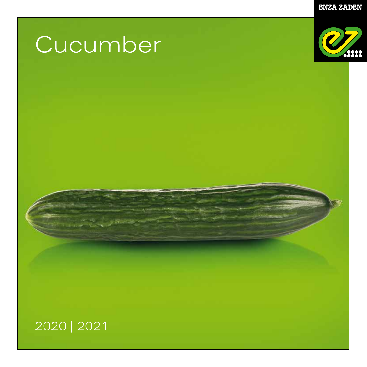**ENZA ZADEN** 

# **Cucumber**



## 2020 | 2021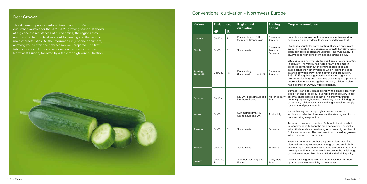| Variety                 | <b>Resistances</b> |    | <b>Region and</b><br>cultivation             | Sowing<br>period                  | <b>Crop characteristics</b>                                                                                                                                                                                                                                                                                                                                                                                                                                                                                                   |  |  |  |
|-------------------------|--------------------|----|----------------------------------------------|-----------------------------------|-------------------------------------------------------------------------------------------------------------------------------------------------------------------------------------------------------------------------------------------------------------------------------------------------------------------------------------------------------------------------------------------------------------------------------------------------------------------------------------------------------------------------------|--|--|--|
|                         | <b>HR</b>          | IR |                                              |                                   |                                                                                                                                                                                                                                                                                                                                                                                                                                                                                                                               |  |  |  |
| Lucania                 | Cca/Ccu            | Px | Early spring NL, UK,<br>Germany, Scandinavia | December.<br>January              | Lucania is a strong crop. It requires generative steering,<br>especially on sunny days. It has early and heavy fruit.                                                                                                                                                                                                                                                                                                                                                                                                         |  |  |  |
| <b>Diobla</b>           | Cca/Ccu            | Px | Scandinavia                                  | December,<br>January,<br>February | Diobla is a variety for early planting. It has an open plant<br>type. The variety keeps continuous growth but stays more<br>open compared to standard varieties. The fruit quality is<br>always good with consistent size and strong colour.                                                                                                                                                                                                                                                                                  |  |  |  |
| Santiago<br>(E23L.2352) | Cca/Ccu            | Px | Early spring,<br>Scandinavia, NL and UK      | December,<br>January              | E23L.2352 is a new variety for traditional crops for planting<br>in January. The variety has rapid growth and smooth<br>green colour throughout the entire season. It comes<br>back sooner than other varieties which results in a solid<br>balance between growth, fruit setting and production.<br>E23L.2352 requires a generative cultivation regime to<br>promote selectivity and openness of the crop and provides<br>intermediate resistance against powdery mildew. It also<br>has a degree of CGMMV virus resistance. |  |  |  |
| Sumapol                 | Ccu/Px             |    | NL, UK, Scandinavia and<br>Northern France   | March to early<br>July            | Sumapol is an open compact crop with a smaller leaf with<br>good fruit and crop colour and rapid shoot growth. These<br>external characteristics go hand-in-hand with unique<br>genetic properties, because the variety has a high degree<br>of powdery mildew resistance and is genetically strongly<br>resistant to Mycosphaerella.                                                                                                                                                                                         |  |  |  |
| <b>Kurios</b>           | Cca/Ccu            |    | Summer/autumn NL.<br>Scandinavia and UK      | April - July                      | Kurios is a vigorous crop, highly productive and is<br>sufficiently selective. It requires active steering and focus<br>on stimulating evaporation.                                                                                                                                                                                                                                                                                                                                                                           |  |  |  |
| Torreon                 | Cca/Ccu            | Px | Scandinavia                                  | February                          | Torreon is a vegetative variety. Although it sets easily it<br>is recommended to keep the crop generative. Especially<br>when the laterals are developing or when a big number of<br>fruits are harvested. The best result is achieved by growers<br>with a generative crop regime.                                                                                                                                                                                                                                           |  |  |  |
| <b>Kostas</b>           | Cca/Ccu            |    | Scandinavia                                  | February                          | Kostas is generative but has a vigorous plant type. The<br>plant will consequently continue to grow and set fruit. It<br>also has high resistance against head scorch and tolerates<br>growing conditions under double screen in the initial stage<br>of its development. Fruit is well-filled and of high quality.                                                                                                                                                                                                           |  |  |  |
| Galaxy                  | Cca/Ccu/<br>Px     |    | Summer Germany and<br>France                 | April, May,<br>June               | Galaxy has a vigorous crop that flourishes best in good<br>light. It has a low sensitivity to heat stress.                                                                                                                                                                                                                                                                                                                                                                                                                    |  |  |  |

This document provides information about Enza Zaden cucumber varieties for the 2020/2021 growing season. It shows at a glance the resistances of our varieties, the regions they are intended for, the best moment for sowing and the varieties main characteristics. All the information in just one document, allowing you to start the new season well-prepared. The first table shows details for conventional cultivation systems in Northwest Europe, followed by a table for high wire cultivation.



# **Conventional cultivation - Northwest Europe Dear Grower, Northwest Europe Dear Grower, Northwest Europe Dear Grower, Northwest Europe Dear Grower, Northwest Europe Dear Grower, Northwest Europe Dear Grower, Northwest Euro**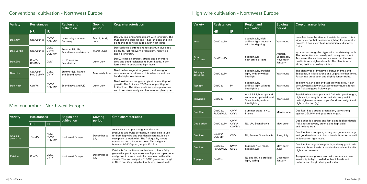### Conventional cultivation - Northwest Europe

| Variety    | <b>Resistances</b>   |                        | <b>Region and</b><br>cultivation          | Sowing<br>period      | <b>Crop characteristics</b>                                                                                                                                                                                     |  |  |  |  |
|------------|----------------------|------------------------|-------------------------------------------|-----------------------|-----------------------------------------------------------------------------------------------------------------------------------------------------------------------------------------------------------------|--|--|--|--|
|            | HR                   | <b>IR</b>              |                                           |                       |                                                                                                                                                                                                                 |  |  |  |  |
| Dee Jay    | Cca/Ccu/Px           | CVYV/<br>CGMMV         | Late spring/summer<br>Germany             | March, April,<br>July | Dee Jay is a long and fast plant with long fruit. The<br>fruit colour is sublime and it has an open and thin<br>plant and does not require a high heat input.                                                   |  |  |  |  |
| Dee Scribe | Cca/Ccu/Px           | CMV/<br>CVYV/<br>CGMMV | Summer NL, UK,<br>Scandinavia and Austria | March-June            | Dee Scribe is a strong and fast plant. It gives dou-<br>ble fruits, fast recovery, green plant, high yield<br>and no long fruit.                                                                                |  |  |  |  |
| Dee Zire   | Ccu/Px/<br>CGMMV     | CMV                    | NL, France and<br>Scandinavia             | June, July            | Dee Zire has a compact, strong and generative<br>crop and good resistance to burnt heads. It per-<br>forms well in decreasing light levels.                                                                     |  |  |  |  |
| Dee Lite   | Cca/Ccu/<br>Px/CGMMV | CMV/<br><b>CVYV</b>    | Summer NL, France<br>and Scandinavia      | May, early June       | Dee Lite has vegetative growth, and very good<br>resistance to burnt heads. It is selective and can<br>handle high virus pressure.                                                                              |  |  |  |  |
| Dee Host   | Ccu/Px               | CVYV/<br>CGMMV         | Scandinavia and UK                        | June, July            | Dee Host has a strong open plant type with good<br>growth. The fruits are 32-35 cm long with good<br>fruit colour. The side shoots are quite generative<br>and it sets fruit easily and has an open plant type. |  |  |  |  |

| Variety                 | <b>Resistances</b>   |                        | <b>Region and</b><br>cultivation                                                              | Sowing<br>period                              | <b>Crop characteristics</b>                                                                                                                                                                                                                               |  |  |  |
|-------------------------|----------------------|------------------------|-----------------------------------------------------------------------------------------------|-----------------------------------------------|-----------------------------------------------------------------------------------------------------------------------------------------------------------------------------------------------------------------------------------------------------------|--|--|--|
|                         | <b>HR</b>            | <b>IR</b>              |                                                                                               |                                               |                                                                                                                                                                                                                                                           |  |  |  |
| Imea                    | Cca/Ccu/Px           |                        | Scandinavia, high<br>artificial light intensity<br>with interlighting                         | Year-round                                    | Imea has been the standard variety for years. It is a<br>vigorous crop that needs interlighting for generative<br>growth. It has a very high production and shorter<br>fruits.                                                                            |  |  |  |
| Kyra<br>(E23L.2338)     | Cca/Ccu/Px           |                        | Scandinavia -<br>high artificial light                                                        | August,<br>September,<br>November-<br>January | Kyra has a strong plant type with consistent growth.<br>The production starts early and is very consistent.<br>Tests over the last two years shows that the fruit<br>quality is very high and stable. The plant is very<br>strong against powdery mildew. |  |  |  |
| Prinseya<br>(E23L.2258) | Cca/Ccu/Px           |                        | Scandinavia, artificial<br>light, with or without<br>interlight                               | Year-round                                    | The plant type of Prinseya is between Imea and<br>Toploader. It is less strong and vegetative than Imea.<br>Faster into production and slightly longer fruits.                                                                                            |  |  |  |
| <b>Toplight</b>         | Cca/Ccu              | <b>Px</b>              | Scandinavia,<br>artificial light without<br>interlighting                                     | Year-round                                    | Toplight has an open and fast-growing crop. It can<br>be cultivated at lower average temperatures. It has<br>fast fruit and good fruit weight.                                                                                                            |  |  |  |
| <b>Topvision</b>        | Cca/Ccu              | Px                     | Artificial light crops and<br>summer crops in NL and<br>Scandinavia, without<br>interlighting | Year-round                                    | Topvision has a fast plant and fruit with good length,<br>high yield, strong. It performed also very well in<br>unlit highwire summer crops. Good fruit weight and<br>high production (kg).                                                               |  |  |  |
| Dee Rect                | Cca/Ccu/<br>Px/CGMMV | CMV/<br><b>CVYV</b>    | Summer crops in NL,<br>France                                                                 | March-June                                    | Dee Rect has a strong green plant, very strong<br>against CGMMV and good fruit length.                                                                                                                                                                    |  |  |  |
| Dee Scribe              | Cca/Ccu/Px           | CMV/<br>CVYV/<br>CGMMV | NL, UK, Scandinavia                                                                           | May, June                                     | Dee Scribe is a strong and fast plant. It gives double<br>fruits, fast recovery, green plant, high yield<br>and no long fruit.                                                                                                                            |  |  |  |
| Dee Zire                | Ccu/Px/<br>CGMMV     | <b>CMV</b>             | NL, France, Scandinavia                                                                       | June, July                                    | Dee Zire has a compact, strong and generative crop<br>and good resistance to burnt heads. It performs well<br>in decreasing light levels.                                                                                                                 |  |  |  |
| Dee Lite                | Cca/Ccu/<br>Px/CGMMV | CMV/<br><b>CVYV</b>    | Summer NL, France,<br>Scandinavia                                                             | May, early<br>June                            | Dee Lite has vegetative growth, and very good resi-<br>stance to burnt heads. It is selective and can handle<br>high virus pressure.                                                                                                                      |  |  |  |
| Topspin                 | Cca/Ccu              |                        | NL and UK, no artificial<br>light, spring                                                     | December,<br>January                          | Topspin has a vigorous crop with endurance, low<br>sensitivity to light, no dark or black heads and<br>uniform fruit length during cultivation.                                                                                                           |  |  |  |

| Variety                       | <b>Resistances</b> |                        | <b>Region and</b><br>cultivation | Sowing<br>period    | <b>Crop characteristics</b>                                                                                                                                                                                                                                                                                 |  |  |  |
|-------------------------------|--------------------|------------------------|----------------------------------|---------------------|-------------------------------------------------------------------------------------------------------------------------------------------------------------------------------------------------------------------------------------------------------------------------------------------------------------|--|--|--|
|                               | HR                 | <b>IR</b>              |                                  |                     |                                                                                                                                                                                                                                                                                                             |  |  |  |
| <b>Analisa</b><br>(E23B.2326) | Ccu/Px             | CMV/<br>CVYV/<br>CGMMV | Northwest Europe                 | December to<br>july | Analisa has an open and generative crop. It<br>produces two fruits per node. It is possible to use<br>for both highwire and traditional systems. It is an<br>easy plant to work with. The fruit quality is very<br>consistent and a beautiful color. The weight is<br>between 90-130-gram, length 13-15 cm. |  |  |  |
| Katrina                       | Ccu/Px             | CMV/<br><b>CVYV</b>    | Northwest Europe                 | December to<br>july | Katrina is for traditional cultivations. It has a fairly<br>generative plant type, makes multiple fruits per node<br>and grows in a very controlled manner on the side<br>shoots. The fruit weight is 110-130 grams and length<br>is 16-18 cm. Very crisp fruit with nice, sweet taste.                     |  |  |  |

### High wire cultivation - Northwest Europe

### Mini cucumber - Northwest Europe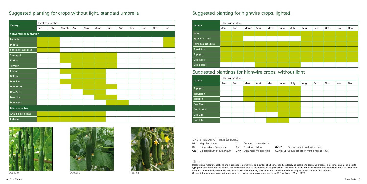### Explanation of resistances:

### Suggested planting for crops without light, standard umbrella Suggested planting for highwire crops, lighted

| Variety                         | Planting months: |     |       |       |     |      |      |     |     |     |     |     |
|---------------------------------|------------------|-----|-------|-------|-----|------|------|-----|-----|-----|-----|-----|
|                                 | Jan              | Feb | March | April | May | June | July | Aug | Sep | Oct | Nov | Dec |
| <b>Conventional cultivation</b> |                  |     |       |       |     |      |      |     |     |     |     |     |
| Lucania                         |                  |     |       |       |     |      |      |     |     |     |     |     |
| Diobla                          |                  |     |       |       |     |      |      |     |     |     |     |     |
| Santiago (E23L.2352)            |                  |     |       |       |     |      |      |     |     |     |     |     |
| Sumapol                         |                  |     |       |       |     |      |      |     |     |     |     |     |
| Kurios                          |                  |     |       |       |     |      |      |     |     |     |     |     |
| <b>Torreon</b>                  |                  |     |       |       |     |      |      |     |     |     |     |     |
| Kostas                          |                  |     |       |       |     |      |      |     |     |     |     |     |
| Galaxy                          |                  |     |       |       |     |      |      |     |     |     |     |     |
| Dee Jay                         |                  |     |       |       |     |      |      |     |     |     |     |     |
| Dee Scribe                      |                  |     |       |       |     |      |      |     |     |     |     |     |
| Dee Zire                        |                  |     |       |       |     |      |      |     |     |     |     |     |
| Dee Lite                        |                  |     |       |       |     |      |      |     |     |     |     |     |
| Dee Host                        |                  |     |       |       |     |      |      |     |     |     |     |     |
| Mini cucumber                   |                  |     |       |       |     |      |      |     |     |     |     |     |
| Analisa (E23B.2326)             |                  |     |       |       |     |      |      |     |     |     |     |     |
| Katrina                         |                  |     |       |       |     |      |      |     |     |     |     |     |





Dee Lite Natrina (1992) See Zire Natrina (1992) See Zire Analysis (1992) See Lite Natrina (1992) See Zire Natrina



CVYV: Cucumber vein yellowing virus CGMMV: Cucumber green mottle mosaic virus

| Variety              | Planting months: |     |       |       |     |      |      |     |     |     |     |     |  |
|----------------------|------------------|-----|-------|-------|-----|------|------|-----|-----|-----|-----|-----|--|
|                      | Jan              | Feb | March | April | May | June | July | Aug | Sep | Oct | Nov | Dec |  |
| Imea                 |                  |     |       |       |     |      |      |     |     |     |     |     |  |
| Kyra (E23L.2338)     |                  |     |       |       |     |      |      |     |     |     |     |     |  |
| Prinseya (E23L.2258) |                  |     |       |       |     |      |      |     |     |     |     |     |  |
| <b>Topvision</b>     |                  |     |       |       |     |      |      |     |     |     |     |     |  |
| <b>Toplight</b>      |                  |     |       |       |     |      |      |     |     |     |     |     |  |
| Dee Rect             |                  |     |       |       |     |      |      |     |     |     |     |     |  |
| Dee Scribe           |                  |     |       |       |     |      |      |     |     |     |     |     |  |

### Suggested plantings for highwire crops, without light

| Variety          | Planting months: |     |       |       |     |      |                    |  |     |     |     |  |  |  |
|------------------|------------------|-----|-------|-------|-----|------|--------------------|--|-----|-----|-----|--|--|--|
|                  | Jan              | Feb | March | April | May | June | July<br>Sep<br>Aug |  | Oct | Nov | Dec |  |  |  |
| <b>Toplight</b>  |                  |     |       |       |     |      |                    |  |     |     |     |  |  |  |
| <b>Topvision</b> |                  |     |       |       |     |      |                    |  |     |     |     |  |  |  |
| <b>Topspin</b>   |                  |     |       |       |     |      |                    |  |     |     |     |  |  |  |
| Dee Rect         |                  |     |       |       |     |      |                    |  |     |     |     |  |  |  |
| Dee Scribe       |                  |     |       |       |     |      |                    |  |     |     |     |  |  |  |
| Dee Zire         |                  |     |       |       |     |      |                    |  |     |     |     |  |  |  |
| Dee Lite         |                  |     |       |       |     |      |                    |  |     |     |     |  |  |  |

### Disclaimer

Descriptions, recommendations and illustrations in brochures and leaflets shall correspond as closely as possible to tests and practical experience and are subject to typographical and/or printing errors. This information shall be provided to assist professional growers and users, whereby variable local conditions must be taken into account. Under no circumstances shall Enza Zaden accept liability based on such information for deviating results in the cultivated product. Current information concerning the resistances is available on www.enzazaden.com. © Enza Zaden | March 2020

|     | HR: High Resistance           | Cca: Corynespora cassiicola       |  |
|-----|-------------------------------|-----------------------------------|--|
| IR: | Intermediate Resistance       | <b>Px:</b> Powdery mildew         |  |
|     | Ccu: Cladosporium cucumerinum | <b>CMV:</b> Cucumber mosaic virus |  |